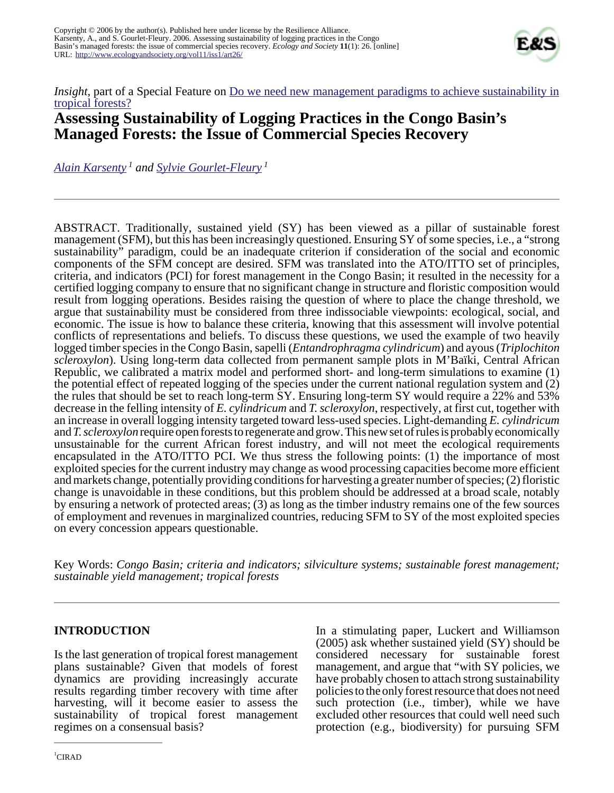

*Insight*, part of a Special Feature on <u>[Do we need new management paradigms to achieve sustainability in](http://www.ecologyandsociety.org/viewissue.php?sf=27)</u> [tropical forests?](http://www.ecologyandsociety.org/viewissue.php?sf=27)

# **Assessing Sustainability of Logging Practices in the Congo Basin's Managed Forests: the Issue of Commercial Species Recovery**

*[Alain Karsenty](mailto:alain.karsenty@cirad.fr)<sup>1</sup> and [Sylvie Gourlet-Fleury](mailto:sylvie.gourlet-fleury@cirad.fr)<sup>1</sup>*

ABSTRACT. Traditionally, sustained yield (SY) has been viewed as a pillar of sustainable forest management (SFM), but this has been increasingly questioned. Ensuring SY of some species, i.e., a "strong sustainability" paradigm, could be an inadequate criterion if consideration of the social and economic components of the SFM concept are desired. SFM was translated into the ATO/ITTO set of principles, criteria, and indicators (PCI) for forest management in the Congo Basin; it resulted in the necessity for a certified logging company to ensure that no significant change in structure and floristic composition would result from logging operations. Besides raising the question of where to place the change threshold, we argue that sustainability must be considered from three indissociable viewpoints: ecological, social, and economic. The issue is how to balance these criteria, knowing that this assessment will involve potential conflicts of representations and beliefs. To discuss these questions, we used the example of two heavily logged timber species in the Congo Basin, sapelli (*Entandrophragma cylindricum*) and ayous (*Triplochiton scleroxylon*). Using long-term data collected from permanent sample plots in M'Baïki, Central African Republic, we calibrated a matrix model and performed short- and long-term simulations to examine (1) the potential effect of repeated logging of the species under the current national regulation system and (2) the rules that should be set to reach long-term SY. Ensuring long-term SY would require a 22% and 53% decrease in the felling intensity of *E. cylindricum* and *T. scleroxylon*, respectively, at first cut, together with an increase in overall logging intensity targeted toward less-used species. Light-demanding *E. cylindricum* and *T. scleroxylon* require open forests to regenerate and grow. This new set of rules is probably economically unsustainable for the current African forest industry, and will not meet the ecological requirements encapsulated in the ATO/ITTO PCI. We thus stress the following points: (1) the importance of most exploited species for the current industry may change as wood processing capacities become more efficient and markets change, potentially providing conditions for harvesting a greater number of species; (2) floristic change is unavoidable in these conditions, but this problem should be addressed at a broad scale, notably by ensuring a network of protected areas; (3) as long as the timber industry remains one of the few sources of employment and revenues in marginalized countries, reducing SFM to SY of the most exploited species on every concession appears questionable.

Key Words: *Congo Basin; criteria and indicators; silviculture systems; sustainable forest management; sustainable yield management; tropical forests*

# **INTRODUCTION**

Is the last generation of tropical forest management plans sustainable? Given that models of forest dynamics are providing increasingly accurate results regarding timber recovery with time after harvesting, will it become easier to assess the sustainability of tropical forest management regimes on a consensual basis?

In a stimulating paper, Luckert and Williamson (2005) ask whether sustained yield (SY) should be considered necessary for sustainable forest management, and argue that "with SY policies, we have probably chosen to attach strong sustainability policies to the only forest resource that does not need such protection (i.e., timber), while we have excluded other resources that could well need such protection (e.g., biodiversity) for pursuing SFM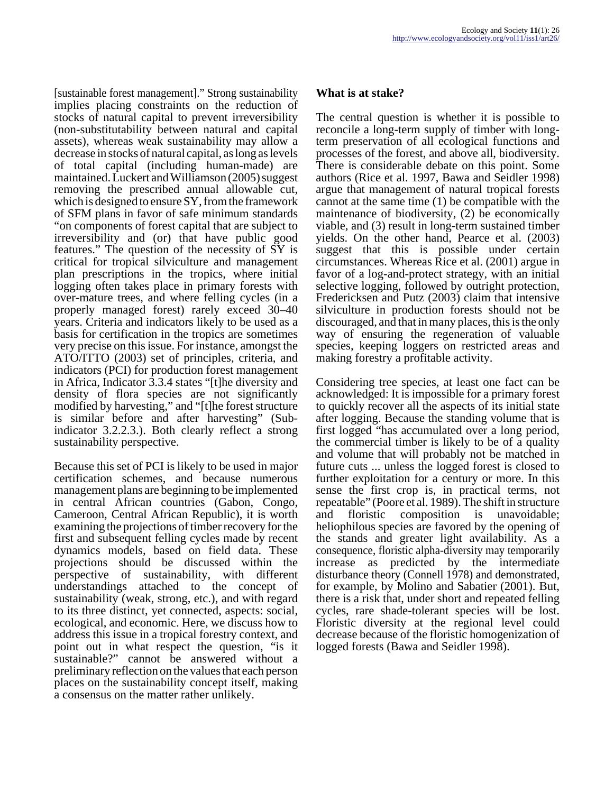[sustainable forest management]." Strong sustainability implies placing constraints on the reduction of stocks of natural capital to prevent irreversibility (non-substitutability between natural and capital assets), whereas weak sustainability may allow a decrease in stocks of natural capital, as long as levels of total capital (including human-made) are maintained. Luckert and Williamson (2005) suggest removing the prescribed annual allowable cut, which is designed to ensure SY, from the framework of SFM plans in favor of safe minimum standards "on components of forest capital that are subject to irreversibility and (or) that have public good features." The question of the necessity of SY is critical for tropical silviculture and management plan prescriptions in the tropics, where initial logging often takes place in primary forests with over-mature trees, and where felling cycles (in a properly managed forest) rarely exceed 30–40 years. Criteria and indicators likely to be used as a basis for certification in the tropics are sometimes very precise on this issue. For instance, amongst the ATO/ITTO (2003) set of principles, criteria, and indicators (PCI) for production forest management in Africa, Indicator 3.3.4 states "[t]he diversity and density of flora species are not significantly modified by harvesting," and "[t]he forest structure is similar before and after harvesting" (Subindicator 3.2.2.3.). Both clearly reflect a strong sustainability perspective.

Because this set of PCI is likely to be used in major certification schemes, and because numerous management plans are beginning to be implemented in central African countries (Gabon, Congo, Cameroon, Central African Republic), it is worth examining the projections of timber recovery for the first and subsequent felling cycles made by recent dynamics models, based on field data. These projections should be discussed within the perspective of sustainability, with different understandings attached to the concept of sustainability (weak, strong, etc.), and with regard to its three distinct, yet connected, aspects: social, ecological, and economic. Here, we discuss how to address this issue in a tropical forestry context, and point out in what respect the question, "is it sustainable?" cannot be answered without a preliminary reflection on the values that each person places on the sustainability concept itself, making a consensus on the matter rather unlikely.

#### **What is at stake?**

The central question is whether it is possible to reconcile a long-term supply of timber with longterm preservation of all ecological functions and processes of the forest, and above all, biodiversity. There is considerable debate on this point. Some authors (Rice et al. 1997, Bawa and Seidler 1998) argue that management of natural tropical forests cannot at the same time (1) be compatible with the maintenance of biodiversity, (2) be economically viable, and (3) result in long-term sustained timber yields. On the other hand, Pearce et al. (2003) suggest that this is possible under certain circumstances. Whereas Rice et al. (2001) argue in favor of a log-and-protect strategy, with an initial selective logging, followed by outright protection, Fredericksen and Putz (2003) claim that intensive silviculture in production forests should not be discouraged, and that in many places, this is the only way of ensuring the regeneration of valuable species, keeping loggers on restricted areas and making forestry a profitable activity.

Considering tree species, at least one fact can be acknowledged: It is impossible for a primary forest to quickly recover all the aspects of its initial state after logging. Because the standing volume that is first logged "has accumulated over a long period, the commercial timber is likely to be of a quality and volume that will probably not be matched in future cuts ... unless the logged forest is closed to further exploitation for a century or more. In this sense the first crop is, in practical terms, not repeatable" (Poore et al. 1989). The shift in structure and floristic composition is unavoidable; heliophilous species are favored by the opening of the stands and greater light availability. As a consequence, floristic alpha-diversity may temporarily increase as predicted by the intermediate disturbance theory (Connell 1978) and demonstrated, for example, by Molino and Sabatier (2001). But, there is a risk that, under short and repeated felling cycles, rare shade-tolerant species will be lost. Floristic diversity at the regional level could decrease because of the floristic homogenization of logged forests (Bawa and Seidler 1998).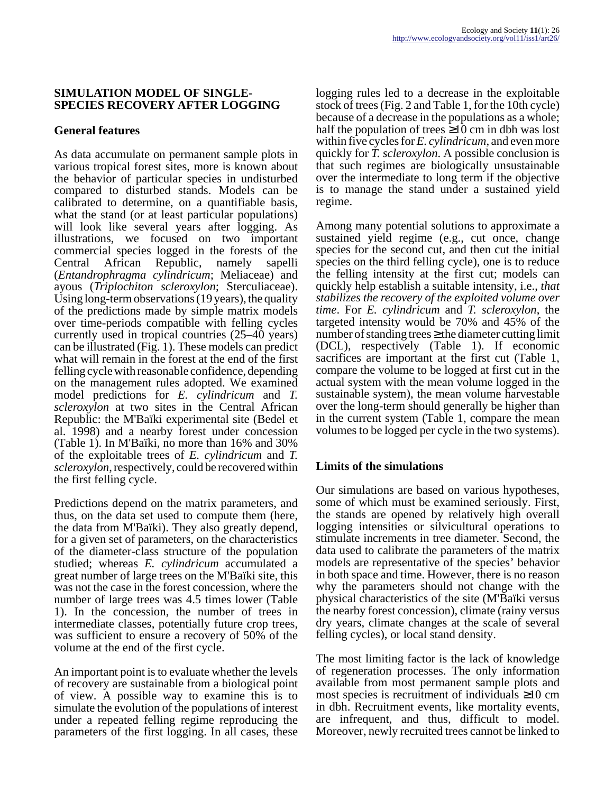#### **SIMULATION MODEL OF SINGLE-SPECIES RECOVERY AFTER LOGGING**

# **General features**

As data accumulate on permanent sample plots in various tropical forest sites, more is known about the behavior of particular species in undisturbed compared to disturbed stands. Models can be calibrated to determine, on a quantifiable basis, what the stand (or at least particular populations) will look like several years after logging. As illustrations, we focused on two important commercial species logged in the forests of the Central African Republic, namely sapelli (*Entandrophragma cylindricum*; Meliaceae) and ayous (*Triplochiton scleroxylon*; Sterculiaceae). Using long-term observations (19 years), the quality of the predictions made by simple matrix models over time-periods compatible with felling cycles currently used in tropical countries (25–40 years) can be illustrated (Fig. 1). These models can predict what will remain in the forest at the end of the first felling cycle with reasonable confidence, depending on the management rules adopted. We examined model predictions for *E. cylindricum* and *T. scleroxylon* at two sites in the Central African Republic: the M'Baïki experimental site (Bedel et al. 1998) and a nearby forest under concession (Table 1). In M'Baïki, no more than 16% and 30% of the exploitable trees of *E. cylindricum* and *T. scleroxylon*, respectively, could be recovered within the first felling cycle.

Predictions depend on the matrix parameters, and thus, on the data set used to compute them (here, the data from M'Baïki). They also greatly depend, for a given set of parameters, on the characteristics of the diameter-class structure of the population studied; whereas *E. cylindricum* accumulated a great number of large trees on the M'Baïki site, this was not the case in the forest concession, where the number of large trees was 4.5 times lower (Table 1). In the concession, the number of trees in intermediate classes, potentially future crop trees, was sufficient to ensure a recovery of 50% of the volume at the end of the first cycle.

An important point is to evaluate whether the levels of recovery are sustainable from a biological point of view. A possible way to examine this is to simulate the evolution of the populations of interest under a repeated felling regime reproducing the parameters of the first logging. In all cases, these

logging rules led to a decrease in the exploitable stock of trees (Fig. 2 and Table 1, for the 10th cycle) because of a decrease in the populations as a whole; half the population of trees  $\geq 10$  cm in dbh was lost within five cycles for *E. cylindricum*, and even more quickly for *T. scleroxylon*. A possible conclusion is that such regimes are biologically unsustainable over the intermediate to long term if the objective is to manage the stand under a sustained yield regime.

Among many potential solutions to approximate a sustained yield regime (e.g., cut once, change species for the second cut, and then cut the initial species on the third felling cycle), one is to reduce the felling intensity at the first cut; models can quickly help establish a suitable intensity, i.e., *that stabilizes the recovery of the exploited volume over time*. For *E. cylindricum* and *T. scleroxylon*, the targeted intensity would be 70% and 45% of the number of standing trees  $\geq$  the diameter cutting limit (DCL), respectively (Table 1). If economic sacrifices are important at the first cut (Table 1, compare the volume to be logged at first cut in the actual system with the mean volume logged in the sustainable system), the mean volume harvestable over the long-term should generally be higher than in the current system (Table 1, compare the mean volumes to be logged per cycle in the two systems).

# **Limits of the simulations**

Our simulations are based on various hypotheses, some of which must be examined seriously. First, the stands are opened by relatively high overall logging intensities or silvicultural operations to stimulate increments in tree diameter. Second, the data used to calibrate the parameters of the matrix models are representative of the species' behavior in both space and time. However, there is no reason why the parameters should not change with the physical characteristics of the site (M'Baïki versus the nearby forest concession), climate (rainy versus dry years, climate changes at the scale of several felling cycles), or local stand density.

The most limiting factor is the lack of knowledge of regeneration processes. The only information available from most permanent sample plots and most species is recruitment of individuals  $\geq 10$  cm in dbh. Recruitment events, like mortality events, are infrequent, and thus, difficult to model. Moreover, newly recruited trees cannot be linked to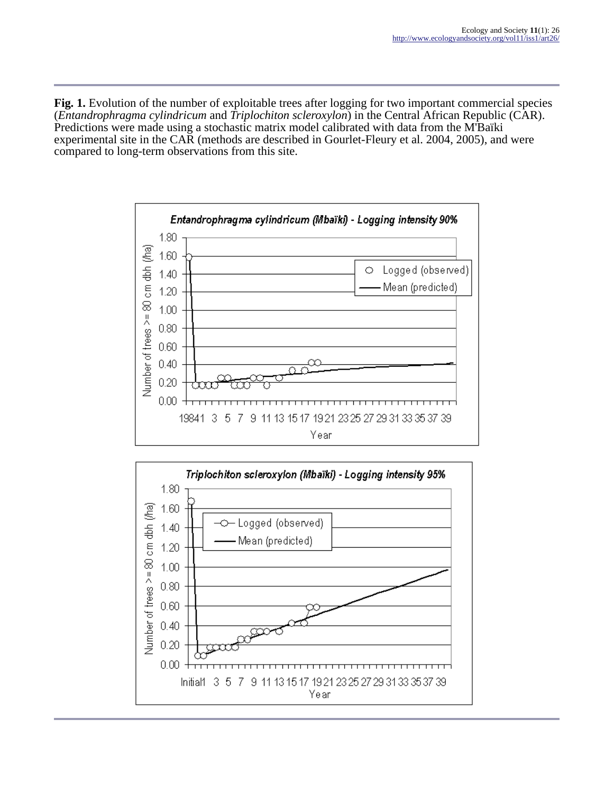**Fig. 1.** Evolution of the number of exploitable trees after logging for two important commercial species (*Entandrophragma cylindricum* and *Triplochiton scleroxylon*) in the Central African Republic (CAR). Predictions were made using a stochastic matrix model calibrated with data from the M'Baïki experimental site in the CAR (methods are described in Gourlet-Fleury et al. 2004, 2005), and were compared to long-term observations from this site.



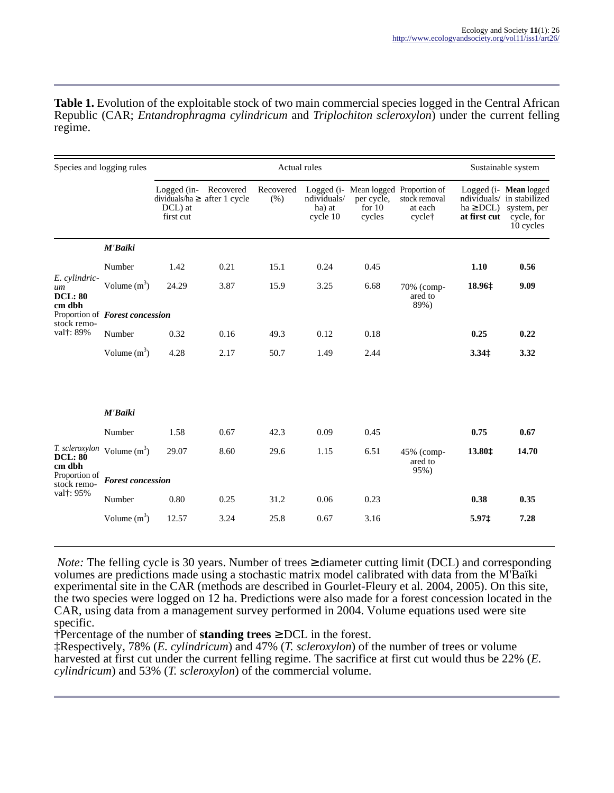**Table 1.** Evolution of the exploitable stock of two main commercial species logged in the Central African Republic (CAR; *Entandrophragma cylindricum* and *Triplochiton scleroxylon*) under the current felling regime.

| Species and logging rules                                                   |                                 | Actual rules                        |                                                |                  |                                   |                                                                          |                                    | Sustainable system           |                                                                                               |
|-----------------------------------------------------------------------------|---------------------------------|-------------------------------------|------------------------------------------------|------------------|-----------------------------------|--------------------------------------------------------------------------|------------------------------------|------------------------------|-----------------------------------------------------------------------------------------------|
|                                                                             |                                 | Logged (in-<br>DCL) at<br>first cut | Recovered<br>dividuals/ha $\geq$ after 1 cycle | Recovered<br>(%) | ndividuals/<br>ha) at<br>cycle 10 | Logged (i- Mean logged Proportion of<br>per cycle,<br>for $10$<br>cycles | stock removal<br>at each<br>cycle† | $ha \ge DCL$<br>at first cut | Logged (i- Mean logged<br>ndividuals/ in stabilized<br>system, per<br>cycle, for<br>10 cycles |
| E. cylindric-<br>um<br><b>DCL: 80</b><br>cm dbh<br>stock remo-<br>val†: 89% | M'Baïki                         |                                     |                                                |                  |                                   |                                                                          |                                    |                              |                                                                                               |
|                                                                             | Number                          | 1.42                                | 0.21                                           | 15.1             | 0.24                              | 0.45                                                                     |                                    | 1.10                         | 0.56                                                                                          |
|                                                                             | Volume $(m^3)$                  | 24.29                               | 3.87                                           | 15.9             | 3.25                              | 6.68                                                                     | 70% (comp-<br>ared to<br>89%)      | 18.96‡                       | 9.09                                                                                          |
|                                                                             | Proportion of Forest concession |                                     |                                                |                  |                                   |                                                                          |                                    |                              |                                                                                               |
|                                                                             | Number                          | 0.32                                | 0.16                                           | 49.3             | 0.12                              | 0.18                                                                     |                                    | 0.25                         | 0.22                                                                                          |
|                                                                             | Volume $(m^3)$                  | 4.28                                | 2.17                                           | 50.7             | 1.49                              | 2.44                                                                     |                                    | 3.341                        | 3.32                                                                                          |
|                                                                             | M'Baïki                         |                                     |                                                |                  |                                   |                                                                          |                                    |                              |                                                                                               |
| <b>DCL: 80</b><br>cm dbh<br>Proportion of<br>stock remo-<br>val†: 95%       | Number                          | 1.58                                | 0.67                                           | 42.3             | 0.09                              | 0.45                                                                     |                                    | 0.75                         | 0.67                                                                                          |
|                                                                             | $T.$ scleroxylon Volume $(m^3)$ | 29.07                               | 8.60                                           | 29.6             | 1.15                              | 6.51                                                                     | 45% (comp-<br>ared to<br>95%)      | 13.80‡                       | 14.70                                                                                         |
|                                                                             | <b>Forest concession</b>        |                                     |                                                |                  |                                   |                                                                          |                                    |                              |                                                                                               |
|                                                                             | Number                          | 0.80                                | 0.25                                           | 31.2             | 0.06                              | 0.23                                                                     |                                    | 0.38                         | 0.35                                                                                          |
|                                                                             | Volume $(m^3)$                  | 12.57                               | 3.24                                           | 25.8             | 0.67                              | 3.16                                                                     |                                    | 5.97‡                        | 7.28                                                                                          |

*Note:* The felling cycle is 30 years. Number of trees  $\geq$  diameter cutting limit (DCL) and corresponding volumes are predictions made using a stochastic matrix model calibrated with data from the M'Baïki experimental site in the CAR (methods are described in Gourlet-Fleury et al. 2004, 2005). On this site, the two species were logged on 12 ha. Predictions were also made for a forest concession located in the CAR, using data from a management survey performed in 2004. Volume equations used were site specific.

†Percentage of the number of **standing trees** ≥ DCL in the forest.

‡Respectively, 78% (*E. cylindricum*) and 47% (*T. scleroxylon*) of the number of trees or volume harvested at first cut under the current felling regime. The sacrifice at first cut would thus be 22% (*E. cylindricum*) and 53% (*T. scleroxylon*) of the commercial volume.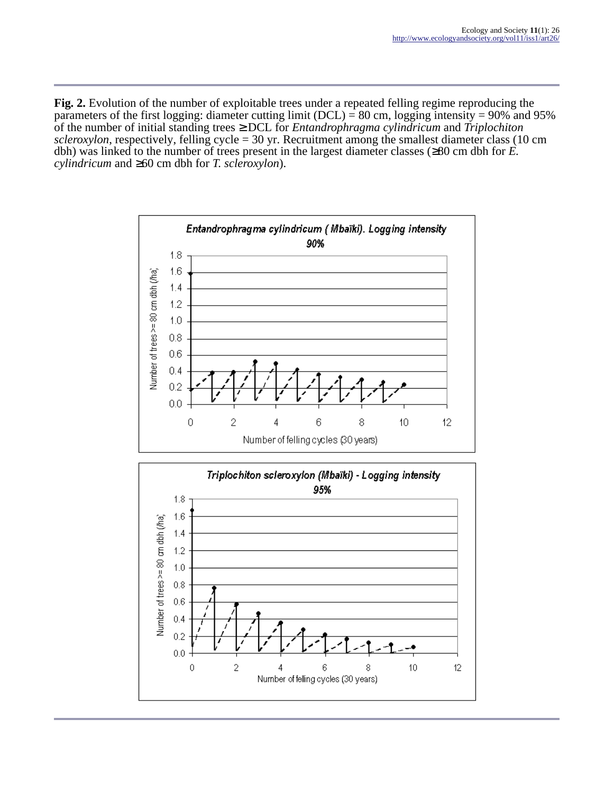**Fig. 2.** Evolution of the number of exploitable trees under a repeated felling regime reproducing the parameters of the first logging: diameter cutting limit (DCL) = 80 cm, logging intensity = 90% and 95% of the number of initial standing trees ≥ DCL for *Entandrophragma cylindricum* and *Triplochiton*  $scleroxylon$ , respectively, felling cycle = 30 yr. Recruitment among the smallest diameter class (10 cm dbh) was linked to the number of trees present in the largest diameter classes (≥80 cm dbh for *E. cylindricum* and ≥60 cm dbh for *T. scleroxylon*).



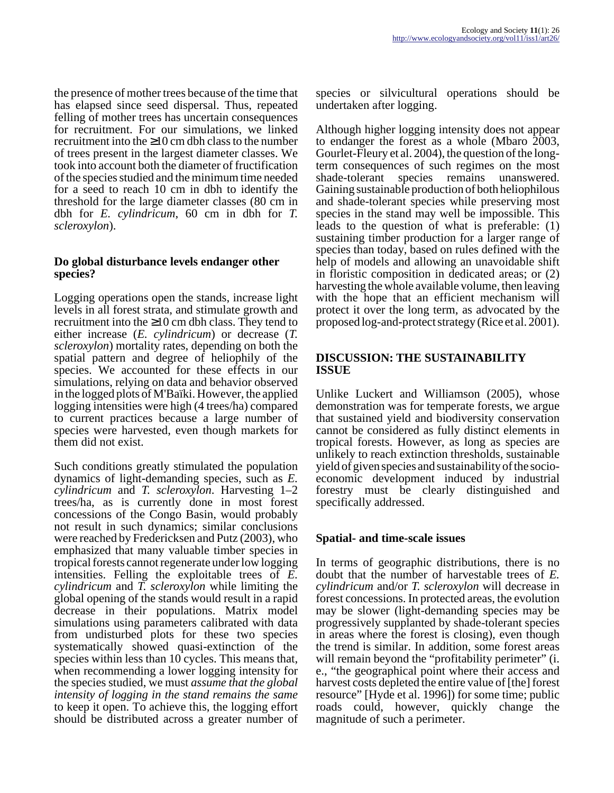the presence of mother trees because of the time that has elapsed since seed dispersal. Thus, repeated felling of mother trees has uncertain consequences for recruitment. For our simulations, we linked recruitment into the ≥10 cm dbh class to the number of trees present in the largest diameter classes. We took into account both the diameter of fructification of the species studied and the minimum time needed for a seed to reach 10 cm in dbh to identify the threshold for the large diameter classes (80 cm in dbh for *E. cylindricum*, 60 cm in dbh for *T. scleroxylon*).

#### **Do global disturbance levels endanger other species?**

Logging operations open the stands, increase light levels in all forest strata, and stimulate growth and recruitment into the  $\geq 10$  cm dbh class. They tend to either increase (*E. cylindricum*) or decrease (*T. scleroxylon*) mortality rates, depending on both the spatial pattern and degree of heliophily of the species. We accounted for these effects in our simulations, relying on data and behavior observed in the logged plots of M'Baïki. However, the applied logging intensities were high (4 trees/ha) compared to current practices because a large number of species were harvested, even though markets for them did not exist.

Such conditions greatly stimulated the population dynamics of light-demanding species, such as *E. cylindricum* and *T. scleroxylon*. Harvesting 1–2 trees/ha, as is currently done in most forest concessions of the Congo Basin, would probably not result in such dynamics; similar conclusions were reached by Fredericksen and Putz (2003), who emphasized that many valuable timber species in tropical forests cannot regenerate under low logging intensities. Felling the exploitable trees of *E. cylindricum* and *T. scleroxylon* while limiting the global opening of the stands would result in a rapid decrease in their populations. Matrix model simulations using parameters calibrated with data from undisturbed plots for these two species systematically showed quasi-extinction of the species within less than 10 cycles. This means that, when recommending a lower logging intensity for the species studied, we must *assume that the global intensity of logging in the stand remains the same* to keep it open. To achieve this, the logging effort should be distributed across a greater number of species or silvicultural operations should be undertaken after logging.

Although higher logging intensity does not appear to endanger the forest as a whole (Mbaro 2003, Gourlet-Fleury et al. 2004), the question of the longterm consequences of such regimes on the most shade-tolerant species remains unanswered. Gaining sustainable production of both heliophilous and shade-tolerant species while preserving most species in the stand may well be impossible. This leads to the question of what is preferable: (1) sustaining timber production for a larger range of species than today, based on rules defined with the help of models and allowing an unavoidable shift in floristic composition in dedicated areas; or (2) harvesting the whole available volume, then leaving with the hope that an efficient mechanism will protect it over the long term, as advocated by the proposed log-and-protect strategy (Rice et al. 2001).

#### **DISCUSSION: THE SUSTAINABILITY ISSUE**

Unlike Luckert and Williamson (2005), whose demonstration was for temperate forests, we argue that sustained yield and biodiversity conservation cannot be considered as fully distinct elements in tropical forests. However, as long as species are unlikely to reach extinction thresholds, sustainable yield of given species and sustainability of the socioeconomic development induced by industrial forestry must be clearly distinguished and specifically addressed.

# **Spatial- and time-scale issues**

In terms of geographic distributions, there is no doubt that the number of harvestable trees of *E. cylindricum* and/or *T. scleroxylon* will decrease in forest concessions. In protected areas, the evolution may be slower (light-demanding species may be progressively supplanted by shade-tolerant species in areas where the forest is closing), even though the trend is similar. In addition, some forest areas will remain beyond the "profitability perimeter" (i. e., "the geographical point where their access and harvest costs depleted the entire value of [the] forest resource" [Hyde et al. 1996]) for some time; public roads could, however, quickly change the magnitude of such a perimeter.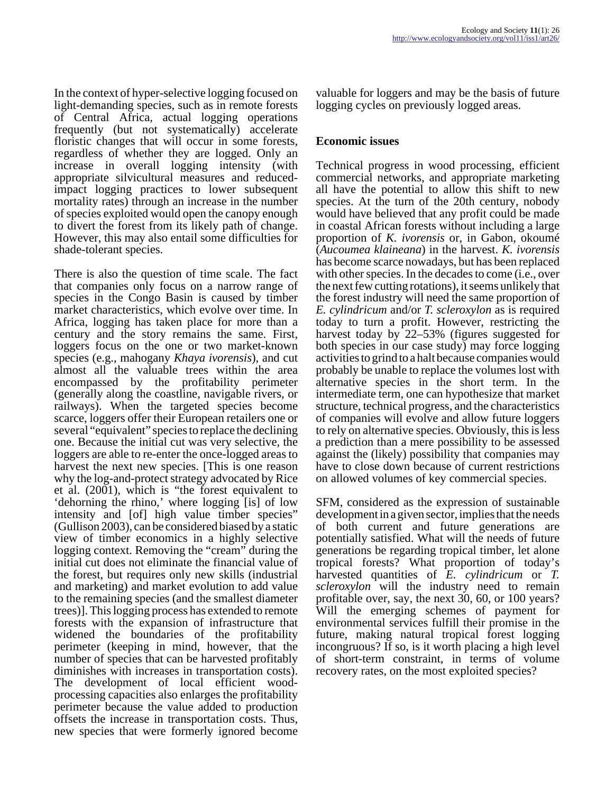In the context of hyper-selective logging focused on light-demanding species, such as in remote forests of Central Africa, actual logging operations frequently (but not systematically) accelerate floristic changes that will occur in some forests, regardless of whether they are logged. Only an increase in overall logging intensity (with appropriate silvicultural measures and reducedimpact logging practices to lower subsequent mortality rates) through an increase in the number of species exploited would open the canopy enough to divert the forest from its likely path of change. However, this may also entail some difficulties for shade-tolerant species.

There is also the question of time scale. The fact that companies only focus on a narrow range of species in the Congo Basin is caused by timber market characteristics, which evolve over time. In Africa, logging has taken place for more than a century and the story remains the same. First, loggers focus on the one or two market-known species (e.g., mahogany *Khaya ivorensis*), and cut almost all the valuable trees within the area encompassed by the profitability perimeter (generally along the coastline, navigable rivers, or railways). When the targeted species become scarce, loggers offer their European retailers one or several "equivalent" species to replace the declining one. Because the initial cut was very selective, the loggers are able to re-enter the once-logged areas to harvest the next new species. [This is one reason why the log-and-protect strategy advocated by Rice et al. (2001), which is "the forest equivalent to 'dehorning the rhino,' where logging [is] of low intensity and [of] high value timber species" (Gullison 2003), can be considered biased by a static view of timber economics in a highly selective logging context. Removing the "cream" during the initial cut does not eliminate the financial value of the forest, but requires only new skills (industrial and marketing) and market evolution to add value to the remaining species (and the smallest diameter trees)]. This logging process has extended to remote forests with the expansion of infrastructure that widened the boundaries of the profitability perimeter (keeping in mind, however, that the number of species that can be harvested profitably diminishes with increases in transportation costs). The development of local efficient woodprocessing capacities also enlarges the profitability perimeter because the value added to production offsets the increase in transportation costs. Thus, new species that were formerly ignored become

valuable for loggers and may be the basis of future logging cycles on previously logged areas.

#### **Economic issues**

Technical progress in wood processing, efficient commercial networks, and appropriate marketing all have the potential to allow this shift to new species. At the turn of the 20th century, nobody would have believed that any profit could be made in coastal African forests without including a large proportion of *K. ivorensis* or, in Gabon, okoumé (*Aucoumea klaineana*) in the harvest. *K. ivorensis* has become scarce nowadays, but has been replaced with other species. In the decades to come (i.e., over the next few cutting rotations), it seems unlikely that the forest industry will need the same proportion of *E. cylindricum* and/or *T. scleroxylon* as is required today to turn a profit. However, restricting the harvest today by 22–53% (figures suggested for both species in our case study) may force logging activities to grind to a halt because companies would probably be unable to replace the volumes lost with alternative species in the short term. In the intermediate term, one can hypothesize that market structure, technical progress, and the characteristics of companies will evolve and allow future loggers to rely on alternative species. Obviously, this is less a prediction than a mere possibility to be assessed against the (likely) possibility that companies may have to close down because of current restrictions on allowed volumes of key commercial species.

SFM, considered as the expression of sustainable development in a given sector, implies that the needs of both current and future generations are potentially satisfied. What will the needs of future generations be regarding tropical timber, let alone tropical forests? What proportion of today's harvested quantities of *E. cylindricum* or *T. scleroxylon* will the industry need to remain profitable over, say, the next 30, 60, or 100 years? Will the emerging schemes of payment for environmental services fulfill their promise in the future, making natural tropical forest logging incongruous? If so, is it worth placing a high level of short-term constraint, in terms of volume recovery rates, on the most exploited species?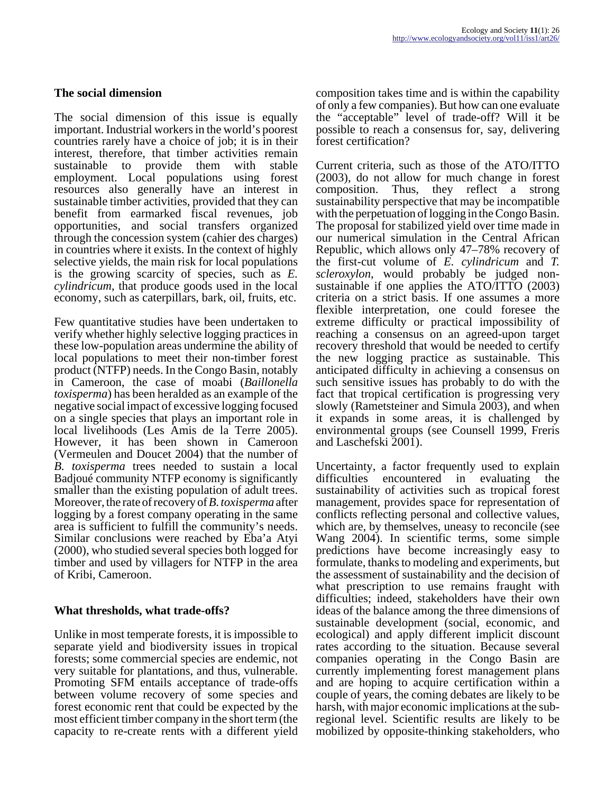#### **The social dimension**

The social dimension of this issue is equally important. Industrial workers in the world's poorest countries rarely have a choice of job; it is in their interest, therefore, that timber activities remain sustainable to provide them with stable employment. Local populations using forest resources also generally have an interest in sustainable timber activities, provided that they can benefit from earmarked fiscal revenues, job opportunities, and social transfers organized through the concession system (cahier des charges) in countries where it exists. In the context of highly selective yields, the main risk for local populations is the growing scarcity of species, such as *E. cylindricum*, that produce goods used in the local economy, such as caterpillars, bark, oil, fruits, etc.

Few quantitative studies have been undertaken to verify whether highly selective logging practices in these low-population areas undermine the ability of local populations to meet their non-timber forest product (NTFP) needs. In the Congo Basin, notably in Cameroon, the case of moabi (*Baillonella toxisperma*) has been heralded as an example of the negative social impact of excessive logging focused on a single species that plays an important role in local livelihoods (Les Amis de la Terre 2005). However, it has been shown in Cameroon (Vermeulen and Doucet 2004) that the number of *B. toxisperma* trees needed to sustain a local Badjoué community NTFP economy is significantly smaller than the existing population of adult trees. Moreover, the rate of recovery of *B. toxisperma* after logging by a forest company operating in the same area is sufficient to fulfill the community's needs. Similar conclusions were reached by Eba'a Atyi (2000), who studied several species both logged for timber and used by villagers for NTFP in the area of Kribi, Cameroon.

# **What thresholds, what trade-offs?**

Unlike in most temperate forests, it is impossible to separate yield and biodiversity issues in tropical forests; some commercial species are endemic, not very suitable for plantations, and thus, vulnerable. Promoting SFM entails acceptance of trade-offs between volume recovery of some species and forest economic rent that could be expected by the most efficient timber company in the short term (the capacity to re-create rents with a different yield

composition takes time and is within the capability of only a few companies). But how can one evaluate the "acceptable" level of trade-off? Will it be possible to reach a consensus for, say, delivering forest certification?

Current criteria, such as those of the ATO/ITTO (2003), do not allow for much change in forest composition. Thus, they reflect a strong sustainability perspective that may be incompatible with the perpetuation of logging in the Congo Basin. The proposal for stabilized yield over time made in our numerical simulation in the Central African Republic, which allows only 47–78% recovery of the first-cut volume of *E. cylindricum* and *T. scleroxylon*, would probably be judged nonsustainable if one applies the ATO/ITTO (2003) criteria on a strict basis. If one assumes a more flexible interpretation, one could foresee the extreme difficulty or practical impossibility of reaching a consensus on an agreed-upon target recovery threshold that would be needed to certify the new logging practice as sustainable. This anticipated difficulty in achieving a consensus on such sensitive issues has probably to do with the fact that tropical certification is progressing very slowly (Rametsteiner and Simula 2003), and when it expands in some areas, it is challenged by environmental groups (see Counsell 1999, Freris and Laschefski 2001).

Uncertainty, a factor frequently used to explain difficulties encountered in evaluating the sustainability of activities such as tropical forest management, provides space for representation of conflicts reflecting personal and collective values, which are, by themselves, uneasy to reconcile (see Wang 2004). In scientific terms, some simple predictions have become increasingly easy to formulate, thanks to modeling and experiments, but the assessment of sustainability and the decision of what prescription to use remains fraught with difficulties; indeed, stakeholders have their own ideas of the balance among the three dimensions of sustainable development (social, economic, and ecological) and apply different implicit discount rates according to the situation. Because several companies operating in the Congo Basin are currently implementing forest management plans and are hoping to acquire certification within a couple of years, the coming debates are likely to be harsh, with major economic implications at the subregional level. Scientific results are likely to be mobilized by opposite-thinking stakeholders, who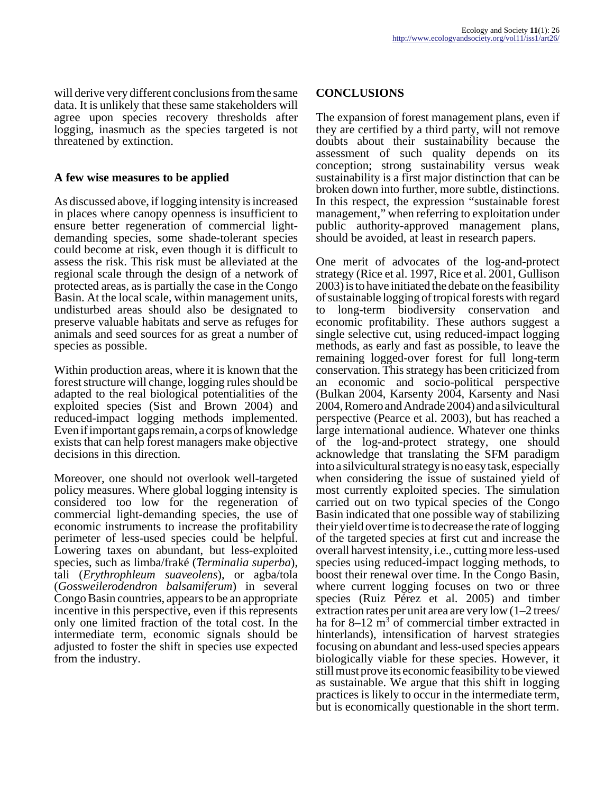will derive very different conclusions from the same data. It is unlikely that these same stakeholders will agree upon species recovery thresholds after logging, inasmuch as the species targeted is not threatened by extinction.

#### **A few wise measures to be applied**

As discussed above, if logging intensity is increased in places where canopy openness is insufficient to ensure better regeneration of commercial lightdemanding species, some shade-tolerant species could become at risk, even though it is difficult to assess the risk. This risk must be alleviated at the regional scale through the design of a network of protected areas, as is partially the case in the Congo Basin. At the local scale, within management units, undisturbed areas should also be designated to preserve valuable habitats and serve as refuges for animals and seed sources for as great a number of species as possible.

Within production areas, where it is known that the forest structure will change, logging rules should be adapted to the real biological potentialities of the exploited species (Sist and Brown 2004) and reduced-impact logging methods implemented. Even if important gaps remain, a corps of knowledge exists that can help forest managers make objective decisions in this direction.

Moreover, one should not overlook well-targeted policy measures. Where global logging intensity is considered too low for the regeneration of commercial light-demanding species, the use of economic instruments to increase the profitability perimeter of less-used species could be helpful. Lowering taxes on abundant, but less-exploited species, such as limba/fraké (*Terminalia superba*), tali (*Erythrophleum suaveolens*), or agba/tola (*Gossweilerodendron balsamiferum*) in several Congo Basin countries, appears to be an appropriate incentive in this perspective, even if this represents only one limited fraction of the total cost. In the intermediate term, economic signals should be adjusted to foster the shift in species use expected from the industry.

#### **CONCLUSIONS**

The expansion of forest management plans, even if they are certified by a third party, will not remove doubts about their sustainability because the assessment of such quality depends on its conception; strong sustainability versus weak sustainability is a first major distinction that can be broken down into further, more subtle, distinctions. In this respect, the expression "sustainable forest management," when referring to exploitation under public authority-approved management plans, should be avoided, at least in research papers.

One merit of advocates of the log-and-protect strategy (Rice et al. 1997, Rice et al. 2001, Gullison 2003) is to have initiated the debate on the feasibility of sustainable logging of tropical forests with regard to long-term biodiversity conservation and economic profitability. These authors suggest a single selective cut, using reduced-impact logging methods, as early and fast as possible, to leave the remaining logged-over forest for full long-term conservation. This strategy has been criticized from an economic and socio-political perspective (Bulkan 2004, Karsenty 2004, Karsenty and Nasi 2004, Romero and Andrade 2004) and a silvicultural perspective (Pearce et al. 2003), but has reached a large international audience. Whatever one thinks of the log-and-protect strategy, one should acknowledge that translating the SFM paradigm into a silvicultural strategy is no easy task, especially when considering the issue of sustained yield of most currently exploited species. The simulation carried out on two typical species of the Congo Basin indicated that one possible way of stabilizing their yield over time is to decrease the rate of logging of the targeted species at first cut and increase the overall harvest intensity, i.e., cutting more less-used species using reduced-impact logging methods, to boost their renewal over time. In the Congo Basin, where current logging focuses on two or three species (Ruiz Pérez et al. 2005) and timber extraction rates per unit area are very low (1–2 trees/ ha for  $8-12 \text{ m}^3$  of commercial timber extracted in hinterlands), intensification of harvest strategies focusing on abundant and less-used species appears biologically viable for these species. However, it still must prove its economic feasibility to be viewed as sustainable. We argue that this shift in logging practices is likely to occur in the intermediate term, but is economically questionable in the short term.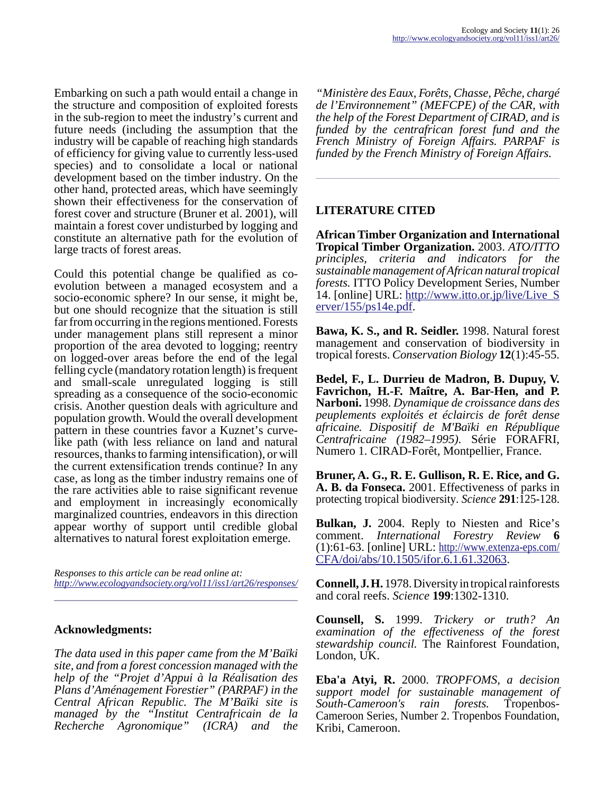Embarking on such a path would entail a change in the structure and composition of exploited forests in the sub-region to meet the industry's current and future needs (including the assumption that the industry will be capable of reaching high standards of efficiency for giving value to currently less-used species) and to consolidate a local or national development based on the timber industry. On the other hand, protected areas, which have seemingly shown their effectiveness for the conservation of forest cover and structure (Bruner et al. 2001), will maintain a forest cover undisturbed by logging and constitute an alternative path for the evolution of large tracts of forest areas.

Could this potential change be qualified as coevolution between a managed ecosystem and a socio-economic sphere? In our sense, it might be, but one should recognize that the situation is still far from occurring in the regions mentioned. Forests under management plans still represent a minor proportion of the area devoted to logging; reentry on logged-over areas before the end of the legal felling cycle (mandatory rotation length) is frequent and small-scale unregulated logging is still spreading as a consequence of the socio-economic crisis. Another question deals with agriculture and population growth. Would the overall development pattern in these countries favor a Kuznet's curvelike path (with less reliance on land and natural resources, thanks to farming intensification), or will the current extensification trends continue? In any case, as long as the timber industry remains one of the rare activities able to raise significant revenue and employment in increasingly economically marginalized countries, endeavors in this direction appear worthy of support until credible global alternatives to natural forest exploitation emerge.

*Responses to this article can be read online at: <http://www.ecologyandsociety.org/vol11/iss1/art26/responses/>*

#### **Acknowledgments:**

*The data used in this paper came from the M'Baïki site, and from a forest concession managed with the help of the "Projet d'Appui à la Réalisation des Plans d'Aménagement Forestier" (PARPAF) in the Central African Republic. The M'Baïki site is managed by the "Institut Centrafricain de la Recherche Agronomique" (ICRA) and the*

*"Ministère des Eaux, Forêts, Chasse, Pêche, chargé de l'Environnement" (MEFCPE) of the CAR, with the help of the Forest Department of CIRAD, and is funded by the centrafrican forest fund and the French Ministry of Foreign Affairs. PARPAF is funded by the French Ministry of Foreign Affairs.* 

# **LITERATURE CITED**

**African Timber Organization and International Tropical Timber Organization.** 2003. *ATO/ITTO principles, criteria and indicators for the sustainable management of African natural tropical forests.* ITTO Policy Development Series, Number 14. [online] URL: [http://www.itto.or.jp/live/Live\\_S](http://www.itto.or.jp/live/Live_Server/155/ps14e.pdf) [erver/155/ps14e.pdf](http://www.itto.or.jp/live/Live_Server/155/ps14e.pdf).

**Bawa, K. S., and R. Seidler.** 1998. Natural forest management and conservation of biodiversity in tropical forests. *Conservation Biology* **12**(1):45-55.

**Bedel, F., L. Durrieu de Madron, B. Dupuy, V. Favrichon, H.-F. Maître, A. Bar-Hen, and P. Narboni.** 1998. *Dynamique de croissance dans des peuplements exploités et éclaircis de forêt dense africaine. Dispositif de M'Baïki en République Centrafricaine (1982–1995).* Série FORAFRI, Numero 1. CIRAD-Forêt, Montpellier, France.

**Bruner, A. G., R. E. Gullison, R. E. Rice, and G. A. B. da Fonseca.** 2001. Effectiveness of parks in protecting tropical biodiversity. *Science* **291**:125-128.

**Bulkan, J.** 2004. Reply to Niesten and Rice's comment. *International Forestry Review* **6**  $(1):61-63$ . [online] URL: [http://www.extenza-eps.com/](http://www.extenza-eps.com/CFA/doi/abs/10.1505/ifor.6.1.61.32063) [CFA/doi/abs/10.1505/ifor.6.1.61.32063](http://www.extenza-eps.com/CFA/doi/abs/10.1505/ifor.6.1.61.32063).

**Connell, J. H.** 1978. Diversity in tropical rainforests and coral reefs. *Science* **199**:1302-1310.

**Counsell, S.** 1999. *Trickery or truth? An examination of the effectiveness of the forest stewardship council.* The Rainforest Foundation, London, UK.

**Eba'a Atyi, R.** 2000. *TROPFOMS, a decision support model for sustainable management of South-Cameroon's rain forests.* Tropenbos-Cameroon Series, Number 2. Tropenbos Foundation, Kribi, Cameroon.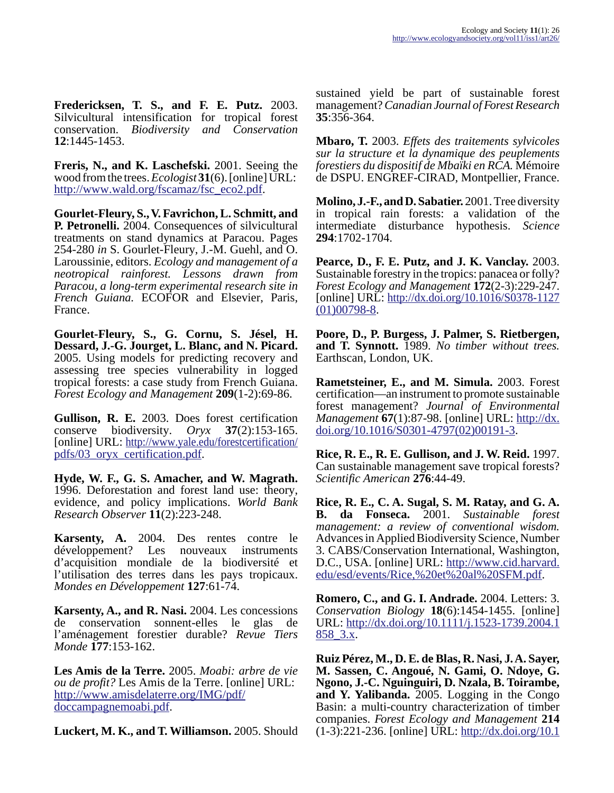**Fredericksen, T. S., and F. E. Putz.** 2003. Silvicultural intensification for tropical forest conservation. *Biodiversity and Conservation* **12**:1445-1453.

**Freris, N., and K. Laschefski.** 2001. Seeing the wood from the trees. *Ecologist* **31**(6). [online] URL: [http://www.wald.org/fscamaz/fsc\\_eco2.pdf.](http://www.wald.org/fscamaz/fsc_eco2.pdf)

**Gourlet-Fleury, S., V. Favrichon, L. Schmitt, and P. Petronelli.** 2004. Consequences of silvicultural treatments on stand dynamics at Paracou. Pages 254-280 *in* S. Gourlet-Fleury, J.-M. Guehl, and O. Laroussinie, editors. *Ecology and management of a neotropical rainforest. Lessons drawn from Paracou, a long-term experimental research site in French Guiana.* ECOFOR and Elsevier, Paris, France.

**Gourlet-Fleury, S., G. Cornu, S. Jésel, H. Dessard, J.-G. Jourget, L. Blanc, and N. Picard.** 2005. Using models for predicting recovery and assessing tree species vulnerability in logged tropical forests: a case study from French Guiana. *Forest Ecology and Management* **209**(1-2):69-86.

**Gullison, R. E.** 2003. Does forest certification conserve biodiversity. *Oryx* **37**(2):153-165. [online] URL: [http://www.yale.edu/forestcertification/](http://www.yale.edu/forestcertification/pdfs/03_oryx_certification.pdf) [pdfs/03\\_oryx\\_certification.pdf.](http://www.yale.edu/forestcertification/pdfs/03_oryx_certification.pdf)

**Hyde, W. F., G. S. Amacher, and W. Magrath.** 1996. Deforestation and forest land use: theory, evidence, and policy implications. *World Bank Research Observer* **11**(2):223-248.

**Karsenty, A.** 2004. Des rentes contre le développement? Les nouveaux instruments d'acquisition mondiale de la biodiversité et l'utilisation des terres dans les pays tropicaux. *Mondes en Développement* **127**:61-74.

**Karsenty, A., and R. Nasi.** 2004. Les concessions de conservation sonnent-elles le glas de l'aménagement forestier durable? *Revue Tiers Monde* **177**:153-162.

**Les Amis de la Terre.** 2005. *Moabi: arbre de vie ou de profit?* Les Amis de la Terre. [online] URL: [http://www.amisdelaterre.org/IMG/pdf/](http://www.amisdelaterre.org/IMG/pdf/doccampagnemoabi.pdf) [doccampagnemoabi.pdf.](http://www.amisdelaterre.org/IMG/pdf/doccampagnemoabi.pdf)

**Luckert, M. K., and T. Williamson.** 2005. Should

sustained yield be part of sustainable forest management? *Canadian Journal of Forest Research* **35**:356-364.

**Mbaro, T.** 2003. *Effets des traitements sylvicoles sur la structure et la dynamique des peuplements forestiers du dispositif de Mbaïki en RCA.* Mémoire de DSPU. ENGREF-CIRAD, Montpellier, France.

**Molino, J.-F., and D. Sabatier.** 2001. Tree diversity in tropical rain forests: a validation of the intermediate disturbance hypothesis. *Science* **294**:1702-1704.

**Pearce, D., F. E. Putz, and J. K. Vanclay.** 2003. Sustainable forestry in the tropics: panacea or folly? *Forest Ecology and Management* **172**(2-3):229-247. [online] URL: [http://dx.doi.org/10.1016/S0378-1127](http://dx.doi.org/10.1016/S0378-1127(01)00798-8) [\(01\)00798-8.](http://dx.doi.org/10.1016/S0378-1127(01)00798-8)

**Poore, D., P. Burgess, J. Palmer, S. Rietbergen, and T. Synnott.** 1989. *No timber without trees.* Earthscan, London, UK.

**Rametsteiner, E., and M. Simula.** 2003. Forest certification—an instrument to promote sustainable forest management? *Journal of Environmental Management* **67**(1):87-98. [online] URL: [http://dx.](http://dx.doi.org/10.1016/S0301-4797(02)00191-3) [doi.org/10.1016/S0301-4797\(02\)00191-3.](http://dx.doi.org/10.1016/S0301-4797(02)00191-3)

**Rice, R. E., R. E. Gullison, and J. W. Reid.** 1997. Can sustainable management save tropical forests? *Scientific American* **276**:44-49.

**Rice, R. E., C. A. Sugal, S. M. Ratay, and G. A. B. da Fonseca.** 2001. *Sustainable forest management: a review of conventional wisdom.* Advances in Applied Biodiversity Science, Number 3. CABS/Conservation International, Washington, D.C., USA. [online] URL: [http://www.cid.harvard.](http://www.cid.harvard.edu/esd/events/Rice,%20et%20al%20SFM.pdf) [edu/esd/events/Rice,%20et%20al%20SFM.pdf](http://www.cid.harvard.edu/esd/events/Rice,%20et%20al%20SFM.pdf).

**Romero, C., and G. I. Andrade.** 2004. Letters: 3. *Conservation Biology* **18**(6):1454-1455. [online] URL: [http://dx.doi.org/10.1111/j.1523-1739.2004.1](http://dx.doi.org/10.1111/j.1523-1739.2004.1858_3.x) [858\\_3.x](http://dx.doi.org/10.1111/j.1523-1739.2004.1858_3.x).

**Ruiz Pérez, M., D. E. de Blas, R. Nasi, J. A. Sayer, M. Sassen, C. Angoué, N. Gami, O. Ndoye, G. Ngono, J.-C. Nguinguiri, D. Nzala, B. Toirambe, and Y. Yalibanda.** 2005. Logging in the Congo Basin: a multi-country characterization of timber companies. *Forest Ecology and Management* **214**  $(1-3):221-236$ . [online] URL: http://dx.doi.org/10.1